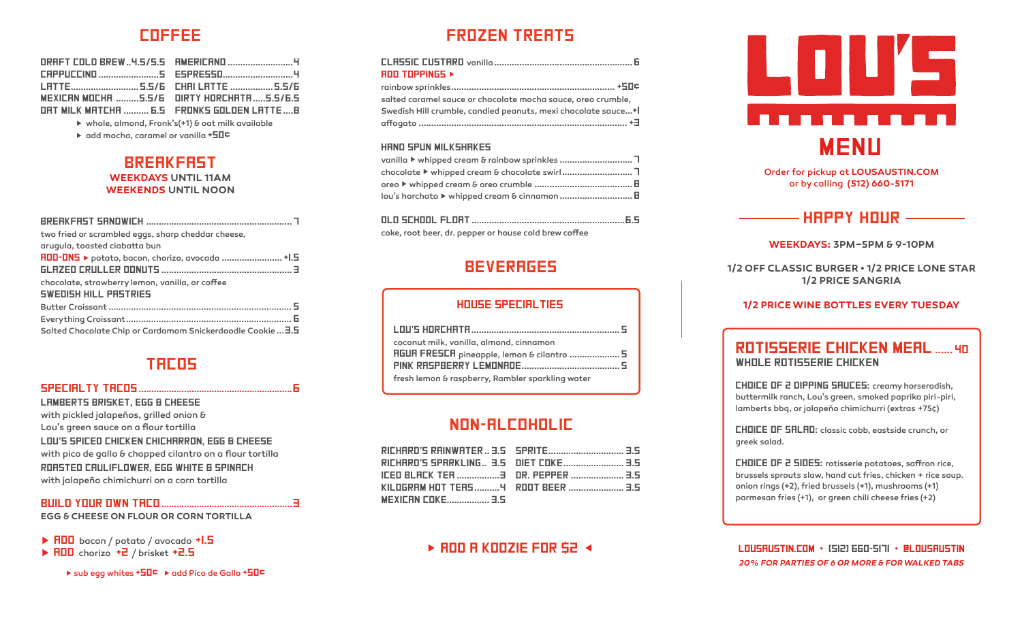# **COFFEE**

| MEXICAN MOCHA 5.5/6 DIRTY HORCHATA5.5/6.5    |  |
|----------------------------------------------|--|
| ORT MILK MATCHA  6.5  FRONKS GOLDEN LATTE  B |  |

▶ whole, almond, Fronk's(+1) & oat milk available

 $\triangleright$  add mocha, caramel or vanilla  $\pm 50$ 

### **BREAKFAST WEEKDAYS UNTIL 11AM WEEKENDS UNTIL NOON**

| two fried or scrambled eggs, sharp cheddar cheese,          |
|-------------------------------------------------------------|
| arugula, toasted ciabatta bun                               |
| RDD-DN5 ▶ potato, bacon, chorizo, avocado  +I.5             |
|                                                             |
| chocolate, strawberry lemon, vanilla, or coffee             |
| SWEDISH HILL PRSTRIES                                       |
|                                                             |
|                                                             |
| Salted Chocolate Chip or Cardamom Snickerdoodle Cookie  3.5 |

## **TRCOS**

#### 

**LAMBERTS BRISKET. EGG B CHEESE** with pickled jalapeños, grilled onion & Lou's green sauce on a flour tortilla LOU'S SPICED CHICKEN CHICHRRRON, EGG & CHEESE with pico de gallo & chopped cilantro on a flour tortilla RORSTED CRULIFLOWER, EGG WHITE & SPINRCH with jalapeño chimichurri on a corn tortilla

### 

**EGG & CHEESE ON FLOUR OR CORN TORTILLA** 

▶ RDD bacon / potato / avocado +1.5

> RDD chorizo +2 / brisket +2.5

▶ sub egg whites +50¢ ▶ add Pico de Gallo +50¢

# **FROZEN TREATS**

| ROD TOPPINGS ▶                                               |  |
|--------------------------------------------------------------|--|
|                                                              |  |
| salted caramel sauce or chocolate mocha sauce, oreo crumble, |  |
| Swedish Hill crumble, candied peanuts, mexi chocolate sauce+ |  |
|                                                              |  |
|                                                              |  |

#### HAND SPUN MILKSHAKES

| lou's horchata ▶ whipped cream & cinnamon E |
|---------------------------------------------|
|                                             |

coke, root beer, dr. pepper or house cold brew coffee

## **BEVERRGES**

#### **HOUSE SPECIALTIES**

| coconut milk, vanilla, almond, cinnamon          |
|--------------------------------------------------|
| <b>RGUR FRESCR</b> pineapple, lemon & cilantro 5 |
|                                                  |
| fresh lemon & raspberry, Rambler sparkling water |

# **NON-RLCOHOLIC**

| <b>MEXICAN COKE 3.5</b> |  |
|-------------------------|--|

## $\triangleright$  RDD R KODZIE FOR S2  $\triangleleft$



Order for pickup at LOUSAUSTIN.COM or by calling (512) 660-5171

# $-HHPPYHUIR -$

WEEKDAYS: 3PM-5PM & 9-10PM

1/2 OFF CLASSIC BURGER . 1/2 PRICE LONE STAR **1/2 PRICE SANGRIA** 

#### **1/2 PRICE WINE BOTTLES EVERY TUESDAY**

## **ROTISSERIE CHICKEN MEAL ...... 40 WHOLE ROTISSERIE CHICKEN**

**CHOICE OF 2 DIPPING SRUCES:** creamy horseradish, buttermilk ranch, Lou's green, smoked paprika piri-piri, lamberts bbq, or jalapeño chimichurri (extras +75¢)

**CHOICE OF SRLAD:** classic cobb, eastside crunch, or greek salad.

**CHOICE OF 2 SIDES:** rotisserie potatoes, saffron rice, brussels sprouts slaw, hand cut fries, chicken + rice soup. onion rings (+2), fried brussels (+1), mushrooms (+1) parmesan fries (+1), or green chili cheese fries (+2)

LOUSAUSTIN.COM . (SI2) 660-SITI . @LOUSAUSTIN 20% FOR PARTIES OF 6 OR MORE & FOR WALKED TABS